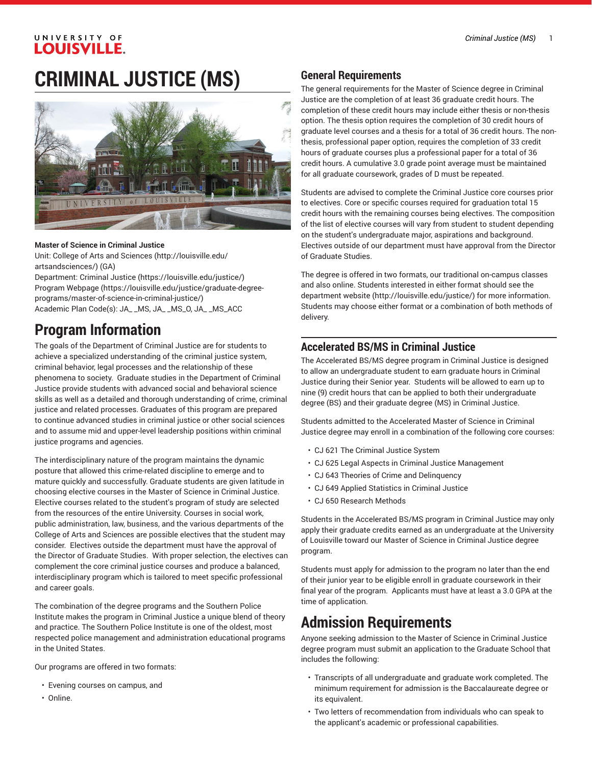#### UNIVERSITY OF **LOUISVILLE.**

# **CRIMINAL JUSTICE (MS)**



#### **Master of Science in Criminal Justice**

Unit: College of Arts and [Sciences \(http://louisville.edu/](http://louisville.edu/artsandsciences/) [artsandsciences/\)](http://louisville.edu/artsandsciences/) (GA)

Department: [Criminal Justice \(https://louisville.edu/justice/](https://louisville.edu/justice/)) Program [Webpage](https://louisville.edu/justice/graduate-degree-programs/master-of-science-in-criminal-justice/) [\(https://louisville.edu/justice/graduate-degree](https://louisville.edu/justice/graduate-degree-programs/master-of-science-in-criminal-justice/)[programs/master-of-science-in-criminal-justice/\)](https://louisville.edu/justice/graduate-degree-programs/master-of-science-in-criminal-justice/) Academic Plan Code(s): JA\_ \_MS, JA\_ \_MS\_O, JA\_ \_MS\_ACC

## **Program Information**

The goals of the Department of Criminal Justice are for students to achieve a specialized understanding of the criminal justice system, criminal behavior, legal processes and the relationship of these phenomena to society. Graduate studies in the Department of Criminal Justice provide students with advanced social and behavioral science skills as well as a detailed and thorough understanding of crime, criminal justice and related processes. Graduates of this program are prepared to continue advanced studies in criminal justice or other social sciences and to assume mid and upper-level leadership positions within criminal justice programs and agencies.

The interdisciplinary nature of the program maintains the dynamic posture that allowed this crime-related discipline to emerge and to mature quickly and successfully. Graduate students are given latitude in choosing elective courses in the Master of Science in Criminal Justice. Elective courses related to the student's program of study are selected from the resources of the entire University. Courses in social work, public administration, law, business, and the various departments of the College of Arts and Sciences are possible electives that the student may consider. Electives outside the department must have the approval of the Director of Graduate Studies. With proper selection, the electives can complement the core criminal justice courses and produce a balanced, interdisciplinary program which is tailored to meet specific professional and career goals.

The combination of the degree programs and the Southern Police Institute makes the program in Criminal Justice a unique blend of theory and practice. The Southern Police Institute is one of the oldest, most respected police management and administration educational programs in the United States.

Our programs are offered in two formats:

- Evening courses on campus, and
- Online.

#### **General Requirements**

The general requirements for the Master of Science degree in Criminal Justice are the completion of at least 36 graduate credit hours. The completion of these credit hours may include either thesis or non-thesis option. The thesis option requires the completion of 30 credit hours of graduate level courses and a thesis for a total of 36 credit hours. The nonthesis, professional paper option, requires the completion of 33 credit hours of graduate courses plus a professional paper for a total of 36 credit hours. A cumulative 3.0 grade point average must be maintained for all graduate coursework, grades of D must be repeated.

Students are advised to complete the Criminal Justice core courses prior to electives. Core or specific courses required for graduation total 15 credit hours with the remaining courses being electives. The composition of the list of elective courses will vary from student to student depending on the student's undergraduate major, aspirations and background. Electives outside of our department must have approval from the Director of Graduate Studies.

The degree is offered in two formats, our traditional on-campus classes and also online. Students interested in either format should see the [department](http://louisville.edu/justice/) website ([http://louisville.edu/justice/\)](http://louisville.edu/justice/) for more information. Students may choose either format or a combination of both methods of delivery.

#### **Accelerated BS/MS in Criminal Justice**

The Accelerated BS/MS degree program in Criminal Justice is designed to allow an undergraduate student to earn graduate hours in Criminal Justice during their Senior year. Students will be allowed to earn up to nine (9) credit hours that can be applied to both their undergraduate degree (BS) and their graduate degree (MS) in Criminal Justice.

Students admitted to the Accelerated Master of Science in Criminal Justice degree may enroll in a combination of the following core courses:

- CJ 621 The Criminal Justice System
- CJ 625 Legal Aspects in Criminal Justice Management
- CJ 643 Theories of Crime and Delinquency
- CJ 649 Applied Statistics in Criminal Justice
- CJ 650 Research Methods

Students in the Accelerated BS/MS program in Criminal Justice may only apply their graduate credits earned as an undergraduate at the University of Louisville toward our Master of Science in Criminal Justice degree program.

Students must apply for admission to the program no later than the end of their junior year to be eligible enroll in graduate coursework in their final year of the program. Applicants must have at least a 3.0 GPA at the time of application.

## **Admission Requirements**

Anyone seeking admission to the Master of Science in Criminal Justice degree program must submit an application to the Graduate School that includes the following:

- Transcripts of all undergraduate and graduate work completed. The minimum requirement for admission is the Baccalaureate degree or its equivalent.
- Two letters of recommendation from individuals who can speak to the applicant's academic or professional capabilities.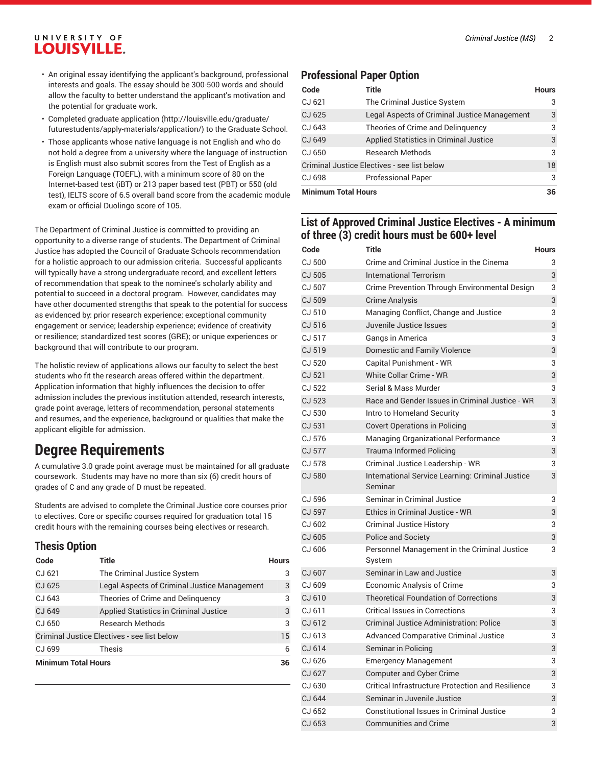### UNIVERSITY OF **LOUISVILLE.**

- An original essay identifying the applicant's background, professional interests and goals. The essay should be 300-500 words and should allow the faculty to better understand the applicant's motivation and the potential for graduate work.
- Completed [graduate application](http://louisville.edu/graduate/futurestudents/apply-materials/application/) ([http://louisville.edu/graduate/](http://louisville.edu/graduate/futurestudents/apply-materials/application/) [futurestudents/apply-materials/application/\)](http://louisville.edu/graduate/futurestudents/apply-materials/application/) to the Graduate School.
- Those applicants whose native language is not English and who do not hold a degree from a university where the language of instruction is English must also submit scores from the Test of English as a Foreign Language (TOEFL), with a minimum score of 80 on the Internet-based test (iBT) or 213 paper based test (PBT) or 550 (old test), IELTS score of 6.5 overall band score from the academic module exam or official Duolingo score of 105.

The Department of Criminal Justice is committed to providing an opportunity to a diverse range of students. The Department of Criminal Justice has adopted the Council of Graduate Schools recommendation for a holistic approach to our admission criteria. Successful applicants will typically have a strong undergraduate record, and excellent letters of recommendation that speak to the nominee's scholarly ability and potential to succeed in a doctoral program. However, candidates may have other documented strengths that speak to the potential for success as evidenced by: prior research experience; exceptional community engagement or service; leadership experience; evidence of creativity or resilience; standardized test scores (GRE); or unique experiences or background that will contribute to our program.

The holistic review of applications allows our faculty to select the best students who fit the research areas offered within the department. Application information that highly influences the decision to offer admission includes the previous institution attended, research interests, grade point average, letters of recommendation, personal statements and resumes, and the experience, background or qualities that make the applicant eligible for admission.

## **Degree Requirements**

A cumulative 3.0 grade point average must be maintained for all graduate coursework. Students may have no more than six (6) credit hours of grades of C and any grade of D must be repeated.

Students are advised to complete the Criminal Justice core courses prior to electives. Core or specific courses required for graduation total 15 credit hours with the remaining courses being electives or research.

### **Thesis Option**

| Code                                        | Title                                        | <b>Hours</b> |
|---------------------------------------------|----------------------------------------------|--------------|
| CJ 621                                      | The Criminal Justice System                  | 3            |
| CJ 625                                      | Legal Aspects of Criminal Justice Management | 3            |
| CJ 643                                      | Theories of Crime and Delinguency            | 3            |
| CJ 649                                      | Applied Statistics in Criminal Justice       | 3            |
| CJ 650                                      | <b>Research Methods</b>                      | 3            |
| Criminal Justice Electives - see list below |                                              |              |
| CJ 699                                      | Thesis                                       | 6            |
| <b>Minimum Total Hours</b>                  |                                              |              |

#### **Professional Paper Option**

| Code                                        | <b>Title</b>                                 | <b>Hours</b> |
|---------------------------------------------|----------------------------------------------|--------------|
| CJ 621                                      | The Criminal Justice System                  | 3            |
| CJ 625                                      | Legal Aspects of Criminal Justice Management | 3            |
| CJ 643                                      | Theories of Crime and Delinguency            | 3            |
| CJ 649                                      | Applied Statistics in Criminal Justice       | 3            |
| CJ 650                                      | <b>Research Methods</b>                      | 3            |
| Criminal Justice Electives - see list below |                                              |              |
| CJ 698                                      | <b>Professional Paper</b>                    | 3            |
| <b>Minimum Total Hours</b>                  |                                              |              |

#### **List of Approved Criminal Justice Electives - A minimum of three (3) credit hours must be 600+ level**

| Code          | <b>Title</b>                                                | <b>Hours</b> |
|---------------|-------------------------------------------------------------|--------------|
| CJ 500        | Crime and Criminal Justice in the Cinema                    | 3            |
| CJ 505        | <b>International Terrorism</b>                              | 3            |
| CJ 507        | Crime Prevention Through Environmental Design               | 3            |
| CJ 509        | <b>Crime Analysis</b>                                       | 3            |
| CJ 510        | Managing Conflict, Change and Justice                       | 3            |
| CJ 516        | Juvenile Justice Issues                                     | 3            |
| CJ 517        | Gangs in America                                            | 3            |
| CJ 519        | Domestic and Family Violence                                | 3            |
| CJ 520        | Capital Punishment - WR                                     | 3            |
| CJ 521        | White Collar Crime - WR                                     | 3            |
| CJ 522        | Serial & Mass Murder                                        | 3            |
| CJ 523        | Race and Gender Issues in Criminal Justice - WR             | 3            |
| CJ 530        | Intro to Homeland Security                                  | 3            |
| CJ 531        | <b>Covert Operations in Policing</b>                        | 3            |
| CJ 576        | Managing Organizational Performance                         | 3            |
| <b>CJ 577</b> | <b>Trauma Informed Policing</b>                             | 3            |
| CJ 578        | Criminal Justice Leadership - WR                            | 3            |
| <b>CJ 580</b> | International Service Learning: Criminal Justice<br>Seminar | 3            |
| CJ 596        | Seminar in Criminal Justice                                 | 3            |
| CJ 597        | Ethics in Criminal Justice - WR                             | 3            |
| CJ 602        | <b>Criminal Justice History</b>                             | 3            |
| CJ 605        | <b>Police and Society</b>                                   | 3            |
| CJ 606        | Personnel Management in the Criminal Justice<br>Svstem      | 3            |
| CJ 607        | Seminar in Law and Justice                                  | 3            |
| CJ 609        | Economic Analysis of Crime                                  | 3            |
| CJ 610        | <b>Theoretical Foundation of Corrections</b>                | 3            |
| CJ 611        | <b>Critical Issues in Corrections</b>                       | 3            |
| CJ 612        | Criminal Justice Administration: Police                     | 3            |
| CJ 613        | <b>Advanced Comparative Criminal Justice</b>                | 3            |
| CJ 614        | Seminar in Policing                                         | 3            |
| CJ 626        | <b>Emergency Management</b>                                 | 3            |
| CJ 627        | <b>Computer and Cyber Crime</b>                             | 3            |
| CJ 630        | Critical Infrastructure Protection and Resilience           | 3            |
| CJ 644        | Seminar in Juvenile Justice                                 | 3            |
| CJ 652        | <b>Constitutional Issues in Criminal Justice</b>            | 3            |
| CJ 653        | <b>Communities and Crime</b>                                | 3            |